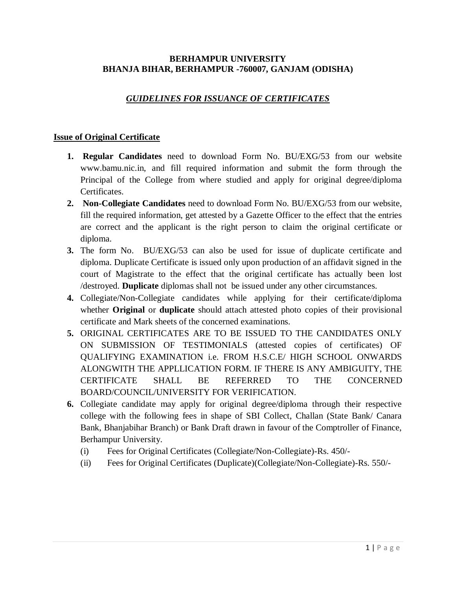#### **BERHAMPUR UNIVERSITY BHANJA BIHAR, BERHAMPUR -760007, GANJAM (ODISHA)**

# *GUIDELINES FOR ISSUANCE OF CERTIFICATES*

### **Issue of Original Certificate**

- **1. Regular Candidates** need to download Form No. BU/EXG/53 from our website www.bamu.nic.in, and fill required information and submit the form through the Principal of the College from where studied and apply for original degree/diploma Certificates.
- **2. Non-Collegiate Candidates** need to download Form No. BU/EXG/53 from our website, fill the required information, get attested by a Gazette Officer to the effect that the entries are correct and the applicant is the right person to claim the original certificate or diploma.
- **3.** The form No. BU/EXG/53 can also be used for issue of duplicate certificate and diploma. Duplicate Certificate is issued only upon production of an affidavit signed in the court of Magistrate to the effect that the original certificate has actually been lost /destroyed. **Duplicate** diplomas shall not be issued under any other circumstances.
- **4.** Collegiate/Non-Collegiate candidates while applying for their certificate/diploma whether **Original** or **duplicate** should attach attested photo copies of their provisional certificate and Mark sheets of the concerned examinations.
- **5.** ORIGINAL CERTIFICATES ARE TO BE ISSUED TO THE CANDIDATES ONLY ON SUBMISSION OF TESTIMONIALS (attested copies of certificates) OF QUALIFYING EXAMINATION i.e. FROM H.S.C.E/ HIGH SCHOOL ONWARDS ALONGWITH THE APPLLICATION FORM. IF THERE IS ANY AMBIGUITY, THE CERTIFICATE SHALL BE REFERRED TO THE CONCERNED BOARD/COUNCIL/UNIVERSITY FOR VERIFICATION.
- **6.** Collegiate candidate may apply for original degree/diploma through their respective college with the following fees in shape of SBI Collect, Challan (State Bank/ Canara Bank, Bhanjabihar Branch) or Bank Draft drawn in favour of the Comptroller of Finance, Berhampur University.
	- (i) Fees for Original Certificates (Collegiate/Non-Collegiate)-Rs. 450/-
	- (ii) Fees for Original Certificates (Duplicate)(Collegiate/Non-Collegiate)-Rs. 550/-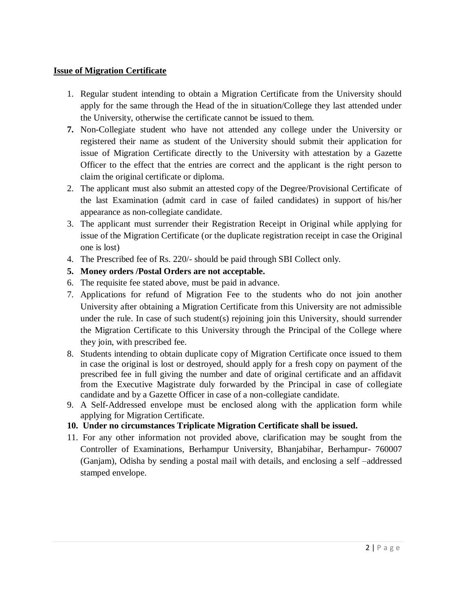### **Issue of Migration Certificate**

- 1. Regular student intending to obtain a Migration Certificate from the University should apply for the same through the Head of the in situation/College they last attended under the University, otherwise the certificate cannot be issued to them.
- **7.** Non-Collegiate student who have not attended any college under the University or registered their name as student of the University should submit their application for issue of Migration Certificate directly to the University with attestation by a Gazette Officer to the effect that the entries are correct and the applicant is the right person to claim the original certificate or diploma.
- 2. The applicant must also submit an attested copy of the Degree/Provisional Certificate of the last Examination (admit card in case of failed candidates) in support of his/her appearance as non-collegiate candidate.
- 3. The applicant must surrender their Registration Receipt in Original while applying for issue of the Migration Certificate (or the duplicate registration receipt in case the Original one is lost)
- 4. The Prescribed fee of Rs. 220/- should be paid through SBI Collect only.
- **5. Money orders /Postal Orders are not acceptable.**
- 6. The requisite fee stated above, must be paid in advance.
- 7. Applications for refund of Migration Fee to the students who do not join another University after obtaining a Migration Certificate from this University are not admissible under the rule. In case of such student(s) rejoining join this University, should surrender the Migration Certificate to this University through the Principal of the College where they join, with prescribed fee.
- 8. Students intending to obtain duplicate copy of Migration Certificate once issued to them in case the original is lost or destroyed, should apply for a fresh copy on payment of the prescribed fee in full giving the number and date of original certificate and an affidavit from the Executive Magistrate duly forwarded by the Principal in case of collegiate candidate and by a Gazette Officer in case of a non-collegiate candidate.
- 9. A Self-Addressed envelope must be enclosed along with the application form while applying for Migration Certificate.
- **10. Under no circumstances Triplicate Migration Certificate shall be issued.**
- 11. For any other information not provided above, clarification may be sought from the Controller of Examinations, Berhampur University, Bhanjabihar, Berhampur- 760007 (Ganjam), Odisha by sending a postal mail with details, and enclosing a self –addressed stamped envelope.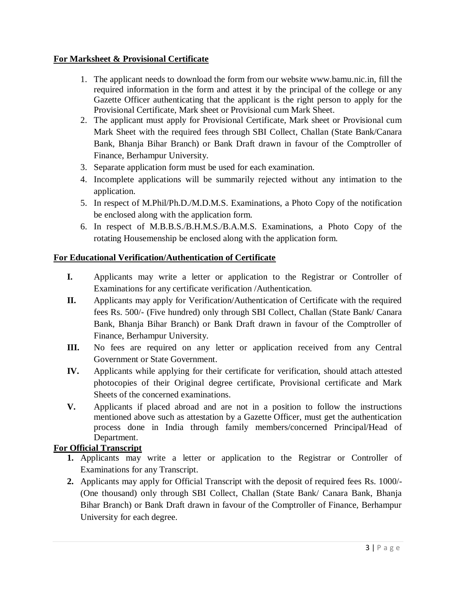### **For Marksheet & Provisional Certificate**

- 1. The applicant needs to download the form from our website www.bamu.nic.in, fill the required information in the form and attest it by the principal of the college or any Gazette Officer authenticating that the applicant is the right person to apply for the Provisional Certificate, Mark sheet or Provisional cum Mark Sheet.
- 2. The applicant must apply for Provisional Certificate, Mark sheet or Provisional cum Mark Sheet with the required fees through SBI Collect, Challan (State Bank/Canara Bank, Bhanja Bihar Branch) or Bank Draft drawn in favour of the Comptroller of Finance, Berhampur University.
- 3. Separate application form must be used for each examination.
- 4. Incomplete applications will be summarily rejected without any intimation to the application.
- 5. In respect of M.Phil/Ph.D./M.D.M.S. Examinations, a Photo Copy of the notification be enclosed along with the application form.
- 6. In respect of M.B.B.S./B.H.M.S./B.A.M.S. Examinations, a Photo Copy of the rotating Housemenship be enclosed along with the application form.

### **For Educational Verification/Authentication of Certificate**

- **I.** Applicants may write a letter or application to the Registrar or Controller of Examinations for any certificate verification /Authentication.
- **II.** Applicants may apply for Verification/Authentication of Certificate with the required fees Rs. 500/- (Five hundred) only through SBI Collect, Challan (State Bank/ Canara Bank, Bhanja Bihar Branch) or Bank Draft drawn in favour of the Comptroller of Finance, Berhampur University.
- **III.** No fees are required on any letter or application received from any Central Government or State Government.
- **IV.** Applicants while applying for their certificate for verification, should attach attested photocopies of their Original degree certificate, Provisional certificate and Mark Sheets of the concerned examinations.
- **V.** Applicants if placed abroad and are not in a position to follow the instructions mentioned above such as attestation by a Gazette Officer, must get the authentication process done in India through family members/concerned Principal/Head of Department.

## **For Official Transcript**

- **1.** Applicants may write a letter or application to the Registrar or Controller of Examinations for any Transcript.
- **2.** Applicants may apply for Official Transcript with the deposit of required fees Rs. 1000/- (One thousand) only through SBI Collect, Challan (State Bank/ Canara Bank, Bhanja Bihar Branch) or Bank Draft drawn in favour of the Comptroller of Finance, Berhampur University for each degree.